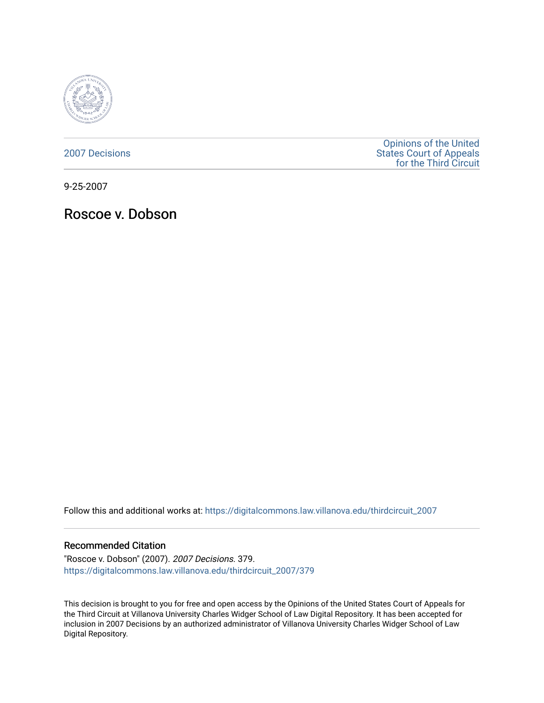

[2007 Decisions](https://digitalcommons.law.villanova.edu/thirdcircuit_2007)

[Opinions of the United](https://digitalcommons.law.villanova.edu/thirdcircuit)  [States Court of Appeals](https://digitalcommons.law.villanova.edu/thirdcircuit)  [for the Third Circuit](https://digitalcommons.law.villanova.edu/thirdcircuit) 

9-25-2007

Roscoe v. Dobson

Follow this and additional works at: [https://digitalcommons.law.villanova.edu/thirdcircuit\\_2007](https://digitalcommons.law.villanova.edu/thirdcircuit_2007?utm_source=digitalcommons.law.villanova.edu%2Fthirdcircuit_2007%2F379&utm_medium=PDF&utm_campaign=PDFCoverPages) 

#### Recommended Citation

"Roscoe v. Dobson" (2007). 2007 Decisions. 379. [https://digitalcommons.law.villanova.edu/thirdcircuit\\_2007/379](https://digitalcommons.law.villanova.edu/thirdcircuit_2007/379?utm_source=digitalcommons.law.villanova.edu%2Fthirdcircuit_2007%2F379&utm_medium=PDF&utm_campaign=PDFCoverPages)

This decision is brought to you for free and open access by the Opinions of the United States Court of Appeals for the Third Circuit at Villanova University Charles Widger School of Law Digital Repository. It has been accepted for inclusion in 2007 Decisions by an authorized administrator of Villanova University Charles Widger School of Law Digital Repository.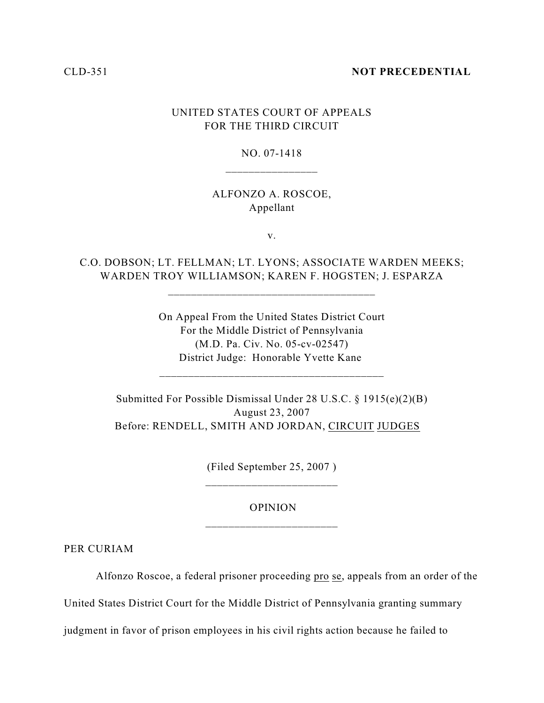#### CLD-351 **NOT PRECEDENTIAL**

# UNITED STATES COURT OF APPEALS FOR THE THIRD CIRCUIT

## NO. 07-1418 \_\_\_\_\_\_\_\_\_\_\_\_\_\_\_\_

### ALFONZO A. ROSCOE, Appellant

v.

C.O. DOBSON; LT. FELLMAN; LT. LYONS; ASSOCIATE WARDEN MEEKS; WARDEN TROY WILLIAMSON; KAREN F. HOGSTEN; J. ESPARZA

\_\_\_\_\_\_\_\_\_\_\_\_\_\_\_\_\_\_\_\_\_\_\_\_\_\_\_\_\_\_\_\_\_\_\_\_

On Appeal From the United States District Court For the Middle District of Pennsylvania (M.D. Pa. Civ. No. 05-cv-02547) District Judge: Honorable Yvette Kane

\_\_\_\_\_\_\_\_\_\_\_\_\_\_\_\_\_\_\_\_\_\_\_\_\_\_\_\_\_\_\_\_\_\_\_\_\_\_\_

Submitted For Possible Dismissal Under 28 U.S.C. § 1915(e)(2)(B) August 23, 2007 Before: RENDELL, SMITH AND JORDAN, CIRCUIT JUDGES

> (Filed September 25, 2007 ) \_\_\_\_\_\_\_\_\_\_\_\_\_\_\_\_\_\_\_\_\_\_\_

## OPINION \_\_\_\_\_\_\_\_\_\_\_\_\_\_\_\_\_\_\_\_\_\_\_

PER CURIAM

Alfonzo Roscoe, a federal prisoner proceeding pro se, appeals from an order of the

United States District Court for the Middle District of Pennsylvania granting summary

judgment in favor of prison employees in his civil rights action because he failed to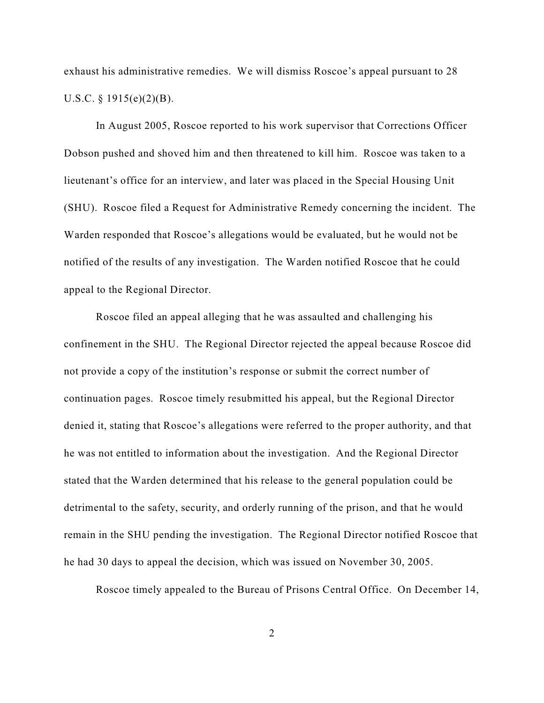exhaust his administrative remedies. We will dismiss Roscoe's appeal pursuant to 28 U.S.C. § 1915(e)(2)(B).

In August 2005, Roscoe reported to his work supervisor that Corrections Officer Dobson pushed and shoved him and then threatened to kill him. Roscoe was taken to a lieutenant's office for an interview, and later was placed in the Special Housing Unit (SHU). Roscoe filed a Request for Administrative Remedy concerning the incident. The Warden responded that Roscoe's allegations would be evaluated, but he would not be notified of the results of any investigation. The Warden notified Roscoe that he could appeal to the Regional Director.

Roscoe filed an appeal alleging that he was assaulted and challenging his confinement in the SHU. The Regional Director rejected the appeal because Roscoe did not provide a copy of the institution's response or submit the correct number of continuation pages. Roscoe timely resubmitted his appeal, but the Regional Director denied it, stating that Roscoe's allegations were referred to the proper authority, and that he was not entitled to information about the investigation. And the Regional Director stated that the Warden determined that his release to the general population could be detrimental to the safety, security, and orderly running of the prison, and that he would remain in the SHU pending the investigation. The Regional Director notified Roscoe that he had 30 days to appeal the decision, which was issued on November 30, 2005.

Roscoe timely appealed to the Bureau of Prisons Central Office. On December 14,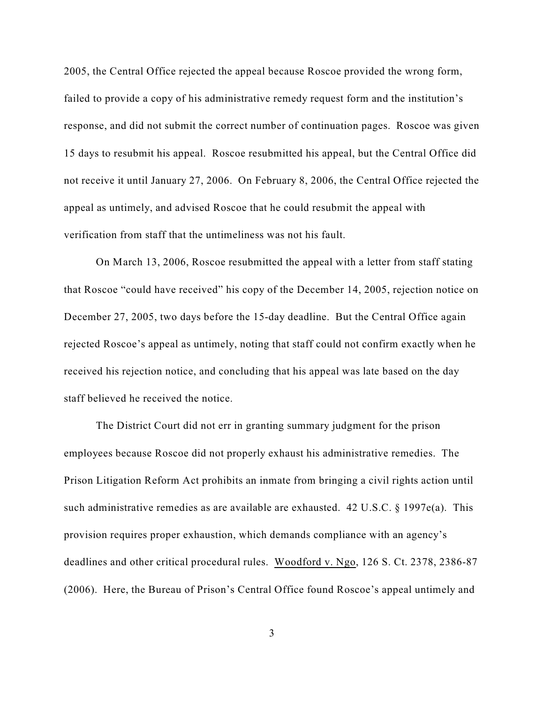2005, the Central Office rejected the appeal because Roscoe provided the wrong form, failed to provide a copy of his administrative remedy request form and the institution's response, and did not submit the correct number of continuation pages. Roscoe was given 15 days to resubmit his appeal. Roscoe resubmitted his appeal, but the Central Office did not receive it until January 27, 2006. On February 8, 2006, the Central Office rejected the appeal as untimely, and advised Roscoe that he could resubmit the appeal with verification from staff that the untimeliness was not his fault.

On March 13, 2006, Roscoe resubmitted the appeal with a letter from staff stating that Roscoe "could have received" his copy of the December 14, 2005, rejection notice on December 27, 2005, two days before the 15-day deadline. But the Central Office again rejected Roscoe's appeal as untimely, noting that staff could not confirm exactly when he received his rejection notice, and concluding that his appeal was late based on the day staff believed he received the notice.

The District Court did not err in granting summary judgment for the prison employees because Roscoe did not properly exhaust his administrative remedies. The Prison Litigation Reform Act prohibits an inmate from bringing a civil rights action until such administrative remedies as are available are exhausted. 42 U.S.C. § 1997e(a). This provision requires proper exhaustion, which demands compliance with an agency's deadlines and other critical procedural rules. Woodford v. Ngo, 126 S. Ct. 2378, 2386-87 (2006). Here, the Bureau of Prison's Central Office found Roscoe's appeal untimely and